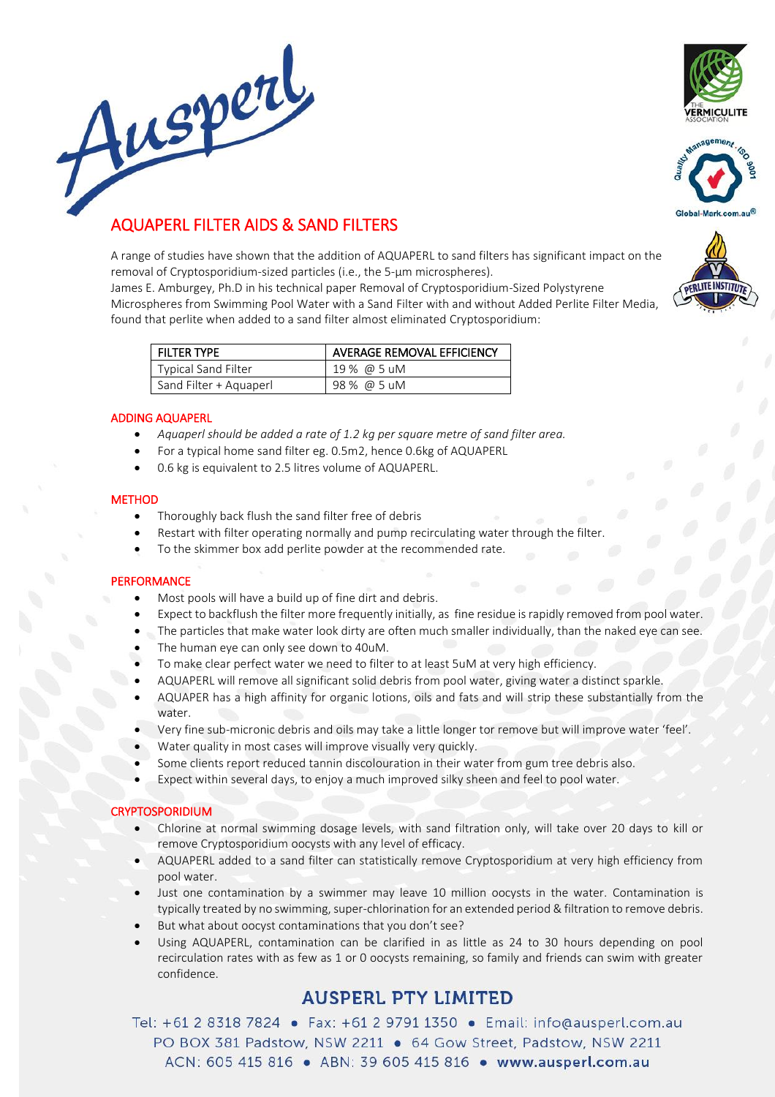





# AQUAPERL FILTER AIDS & SAND FILTERS

A range of studies have shown that the addition of AQUAPERL to sand filters has significant impact on the removal of Cryptosporidium-sized particles (i.e., the 5-μm microspheres).

James E. Amburgey, Ph.D in his technical paper Removal of Cryptosporidium-Sized Polystyrene Microspheres from Swimming Pool Water with a Sand Filter with and without Added Perlite Filter Media, found that perlite when added to a sand filter almost eliminated Cryptosporidium:

| <b>FILTER TYPE</b>         | AVERAGE REMOVAL EFFICIENCY |  |
|----------------------------|----------------------------|--|
| <b>Typical Sand Filter</b> | 19 % @ 5 uM                |  |
| Sand Filter + Aquaperl     | 98 % @ 5 uM                |  |

# ADDING AQUAPERL

- *Aquaperl should be added a rate of 1.2 kg per square metre of sand filter area.*
- For a typical home sand filter eg. 0.5m2, hence 0.6kg of AQUAPERL
- 0.6 kg is equivalent to 2.5 litres volume of AQUAPERL.

# **METHOD**

- Thoroughly back flush the sand filter free of debris
- Restart with filter operating normally and pump recirculating water through the filter.
- To the skimmer box add perlite powder at the recommended rate.

# **PERFORMANCE**

- Most pools will have a build up of fine dirt and debris.
- Expect to backflush the filter more frequently initially, as fine residue is rapidly removed from pool water.
- The particles that make water look dirty are often much smaller individually, than the naked eye can see.
- The human eye can only see down to 40uM.
- To make clear perfect water we need to filter to at least 5uM at very high efficiency.
- AQUAPERL will remove all significant solid debris from pool water, giving water a distinct sparkle.
- AQUAPER has a high affinity for organic lotions, oils and fats and will strip these substantially from the water
- Very fine sub-micronic debris and oils may take a little longer tor remove but will improve water 'feel'.
- Water quality in most cases will improve visually very quickly.
- Some clients report reduced tannin discolouration in their water from gum tree debris also.
- Expect within several days, to enjoy a much improved silky sheen and feel to pool water.

# CRYPTOSPORIDIUM

- Chlorine at normal swimming dosage levels, with sand filtration only, will take over 20 days to kill or remove Cryptosporidium oocysts with any level of efficacy.
- AQUAPERL added to a sand filter can statistically remove Cryptosporidium at very high efficiency from pool water.
- Just one contamination by a swimmer may leave 10 million oocysts in the water. Contamination is typically treated by no swimming, super-chlorination for an extended period & filtration to remove debris.
- But what about oocyst contaminations that you don't see?
- Using AQUAPERL, contamination can be clarified in as little as 24 to 30 hours depending on pool recirculation rates with as few as 1 or 0 oocysts remaining, so family and friends can swim with greater confidence.

# **AUSPERL PTY LIMITED**

Tel: +61 2 8318 7824 · Fax: +61 2 9791 1350 · Email: info@ausperl.com.au PO BOX 381 Padstow, NSW 2211 ● 64 Gow Street, Padstow, NSW 2211 ACN: 605 415 816 . ABN: 39 605 415 816 . www.ausperl.com.au

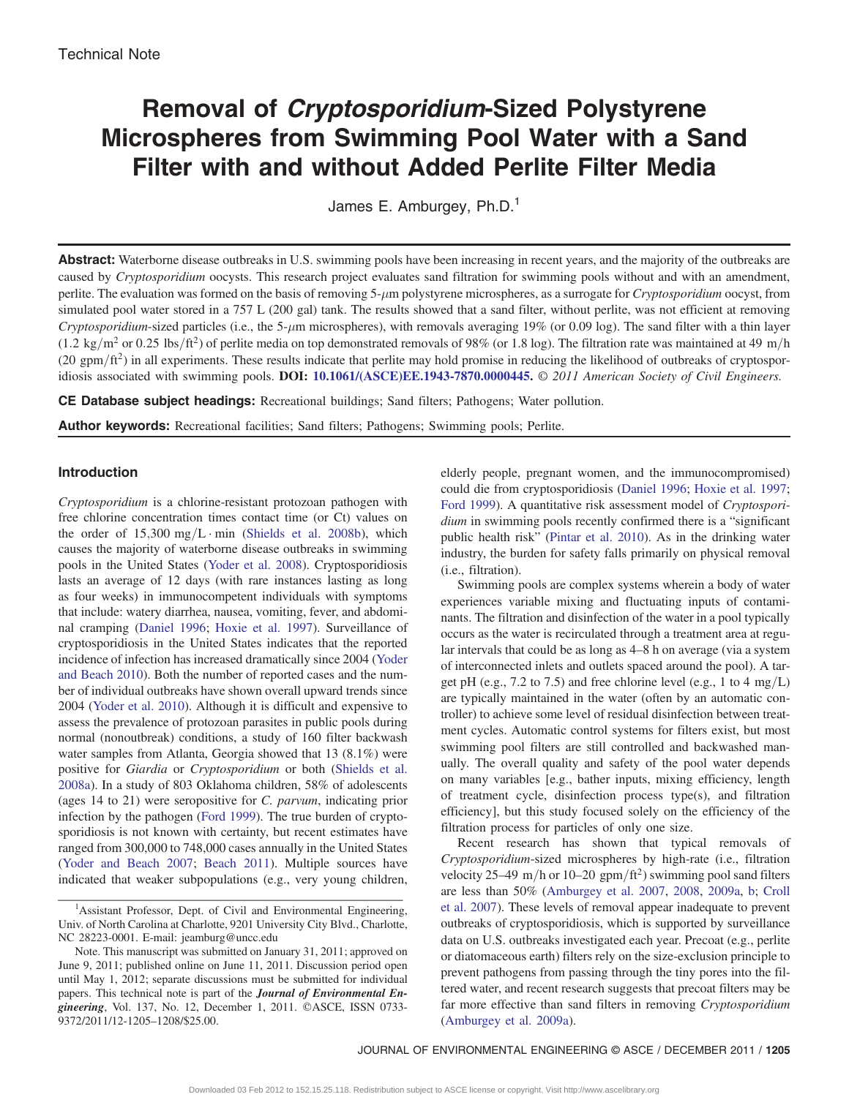# Removal of Cryptosporidium-Sized Polystyrene Microspheres from Swimming Pool Water with a Sand Filter with and without Added Perlite Filter Media

James E. Amburgey, Ph.D.<sup>1</sup>

Abstract: Waterborne disease outbreaks in U.S. swimming pools have been increasing in recent years, and the majority of the outbreaks are caused by Cryptosporidium oocysts. This research project evaluates sand filtration for swimming pools without and with an amendment, perlite. The evaluation was formed on the basis of removing 5- $\mu$ m polystyrene microspheres, as a surrogate for *Cryptosporidium* oocyst, from simulated pool water stored in a 757 L (200 gal) tank. The results showed that a sand filter, without perlite, was not efficient at removing Cryptosporidium-sized particles (i.e., the 5- $\mu$ m microspheres), with removals averaging 19% (or 0.09 log). The sand filter with a thin layer  $(1.2 \text{ kg/m}^2 \text{ or } 0.25 \text{ lbs/ft}^2)$  of perlite media on top demonstrated removals of 98% (or 1.8 log). The filtration rate was maintained at 49 m/h  $(20 \text{ gpm/ft}^2)$  in all experiments. These results indicate that perlite may hold promise in reducing the likelihood of outbreaks of cryptospor-idiosis associated with swimming pools. DOI: [10.1061/\(ASCE\)EE.1943-7870.0000445](http://dx.doi.org/10.1061/(ASCE)EE.1943-7870.0000445). © 2011 American Society of Civil Engineers.

CE Database subject headings: Recreational buildings; Sand filters; Pathogens; Water pollution.

Author keywords: Recreational facilities; Sand filters; Pathogens; Swimming pools; Perlite.

# Introduction

Cryptosporidium is a chlorine-resistant protozoan pathogen with free chlorine concentration times contact time (or Ct) values on the order of  $15,300$  mg/L · min ([Shields et al. 2008b](#page-4-0)), which causes the majority of waterborne disease outbreaks in swimming pools in the United States [\(Yoder et al. 2008\)](#page-4-1). Cryptosporidiosis lasts an average of 12 days (with rare instances lasting as long as four weeks) in immunocompetent individuals with symptoms that include: watery diarrhea, nausea, vomiting, fever, and abdominal cramping [\(Daniel 1996;](#page-4-2) [Hoxie et al. 1997\)](#page-4-3). Surveillance of cryptosporidiosis in the United States indicates that the reported incidence of infection has increased dramatically since 2004 [\(Yoder](#page-4-4) [and Beach 2010](#page-4-4)). Both the number of reported cases and the number of individual outbreaks have shown overall upward trends since 2004 [\(Yoder et al. 2010](#page-4-5)). Although it is difficult and expensive to assess the prevalence of protozoan parasites in public pools during normal (nonoutbreak) conditions, a study of 160 filter backwash water samples from Atlanta, Georgia showed that 13 (8.1%) were positive for Giardia or Cryptosporidium or both [\(Shields et al.](#page-4-6) [2008a](#page-4-6)). In a study of 803 Oklahoma children, 58% of adolescents (ages 14 to 21) were seropositive for C. parvum, indicating prior infection by the pathogen [\(Ford 1999\)](#page-4-7). The true burden of cryptosporidiosis is not known with certainty, but recent estimates have ranged from 300,000 to 748,000 cases annually in the United States [\(Yoder and Beach 2007](#page-4-8); [Beach 2011\)](#page-4-9). Multiple sources have indicated that weaker subpopulations (e.g., very young children,

elderly people, pregnant women, and the immunocompromised) could die from cryptosporidiosis [\(Daniel 1996](#page-4-2); [Hoxie et al. 1997](#page-4-3); [Ford 1999\)](#page-4-7). A quantitative risk assessment model of Cryptosporidium in swimming pools recently confirmed there is a "significant public health risk" ([Pintar et al. 2010\)](#page-4-10). As in the drinking water industry, the burden for safety falls primarily on physical removal (i.e., filtration).

Swimming pools are complex systems wherein a body of water experiences variable mixing and fluctuating inputs of contaminants. The filtration and disinfection of the water in a pool typically occurs as the water is recirculated through a treatment area at regular intervals that could be as long as 4–8 h on average (via a system of interconnected inlets and outlets spaced around the pool). A target pH (e.g.,  $7.2$  to  $7.5$ ) and free chlorine level (e.g., 1 to  $4 \text{ mg/L}$ ) are typically maintained in the water (often by an automatic controller) to achieve some level of residual disinfection between treatment cycles. Automatic control systems for filters exist, but most swimming pool filters are still controlled and backwashed manually. The overall quality and safety of the pool water depends on many variables [e.g., bather inputs, mixing efficiency, length of treatment cycle, disinfection process type(s), and filtration efficiency], but this study focused solely on the efficiency of the filtration process for particles of only one size.

Recent research has shown that typical removals of Cryptosporidium-sized microspheres by high-rate (i.e., filtration velocity 25–49 m/h or 10–20 gpm/ft<sup>2</sup>) swimming pool sand filters are less than 50% [\(Amburgey et al. 2007,](#page-4-11) [2008,](#page-4-12) [2009a,](#page-4-13) [b;](#page-4-14) [Croll](#page-4-15) [et al. 2007\)](#page-4-15). These levels of removal appear inadequate to prevent outbreaks of cryptosporidiosis, which is supported by surveillance data on U.S. outbreaks investigated each year. Precoat (e.g., perlite or diatomaceous earth) filters rely on the size-exclusion principle to prevent pathogens from passing through the tiny pores into the filtered water, and recent research suggests that precoat filters may be far more effective than sand filters in removing Cryptosporidium [\(Amburgey et al. 2009a](#page-4-13)).

<sup>&</sup>lt;sup>1</sup>Assistant Professor, Dept. of Civil and Environmental Engineering, Univ. of North Carolina at Charlotte, 9201 University City Blvd., Charlotte, NC 28223-0001. E-mail: jeamburg@uncc.edu

Note. This manuscript was submitted on January 31, 2011; approved on June 9, 2011; published online on June 11, 2011. Discussion period open until May 1, 2012; separate discussions must be submitted for individual papers. This technical note is part of the **Journal of Environmental En**gineering, Vol. 137, No. 12, December 1, 2011. ©ASCE, ISSN 0733- 9372/2011/12-1205–1208/\$25.00.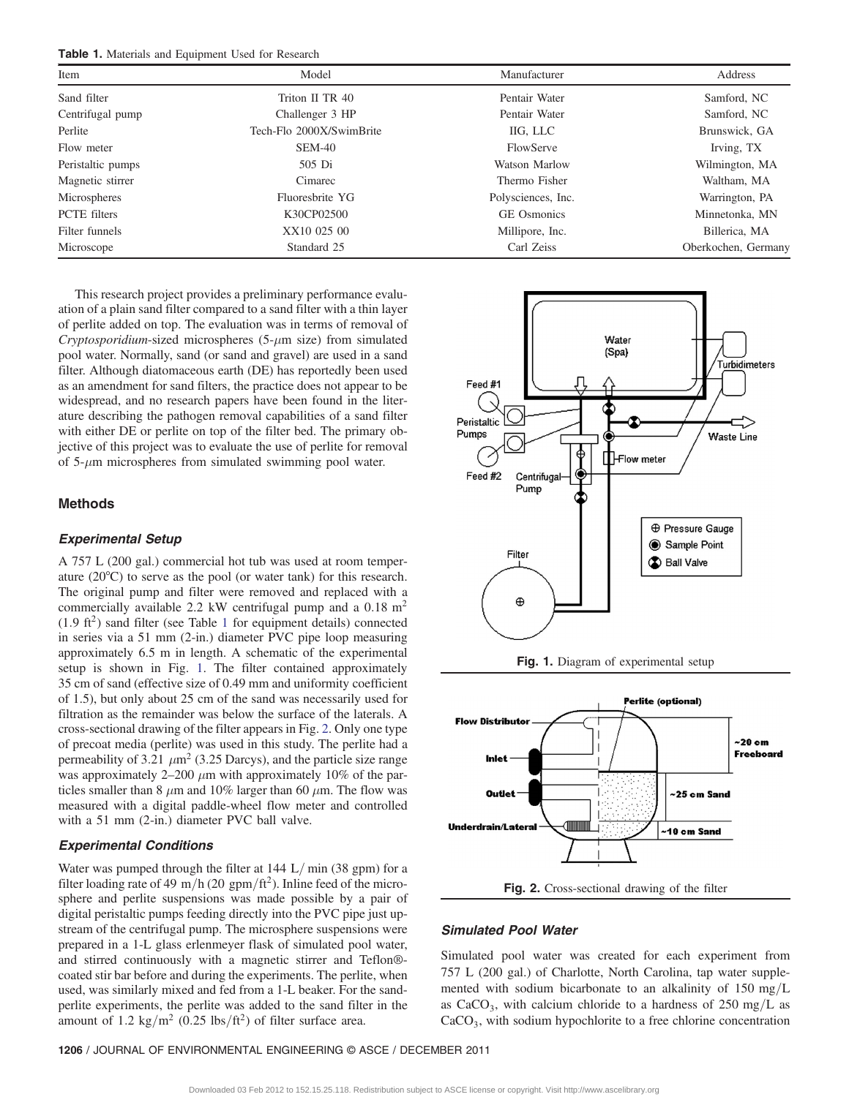<span id="page-2-0"></span>Table 1. Materials and Equipment Used for Research

| Item                | Model                    | Manufacturer       | Address             |
|---------------------|--------------------------|--------------------|---------------------|
| Sand filter         | Triton II TR 40          | Pentair Water      | Samford, NC         |
| Centrifugal pump    | Challenger 3 HP          | Pentair Water      | Samford, NC         |
| Perlite             | Tech-Flo 2000X/SwimBrite | IIG, LLC           | Brunswick, GA       |
| Flow meter          | SEM-40                   | FlowServe          | Irving, TX          |
| Peristaltic pumps   | 505 Di                   | Watson Marlow      | Wilmington, MA      |
| Magnetic stirrer    | Cimarec                  | Thermo Fisher      | Waltham, MA         |
| Microspheres        | Fluoresbrite YG          | Polysciences, Inc. | Warrington, PA      |
| <b>PCTE</b> filters | K30CP02500               | <b>GE</b> Osmonics | Minnetonka, MN      |
| Filter funnels      | XX10 025 00              | Millipore, Inc.    | Billerica, MA       |
| Microscope          | Standard 25              | Carl Zeiss         | Oberkochen, Germany |

This research project provides a preliminary performance evaluation of a plain sand filter compared to a sand filter with a thin layer of perlite added on top. The evaluation was in terms of removal of Cryptosporidium-sized microspheres ( $5-\mu$ m size) from simulated pool water. Normally, sand (or sand and gravel) are used in a sand filter. Although diatomaceous earth (DE) has reportedly been used as an amendment for sand filters, the practice does not appear to be widespread, and no research papers have been found in the literature describing the pathogen removal capabilities of a sand filter with either DE or perlite on top of the filter bed. The primary objective of this project was to evaluate the use of perlite for removal of  $5-\mu m$  microspheres from simulated swimming pool water.

## Methods

#### Experimental Setup

A 757 L (200 gal.) commercial hot tub was used at room temperature (20°C) to serve as the pool (or water tank) for this research. The original pump and filter were removed and replaced with a commercially available 2.2 kW centrifugal pump and a  $0.18 \text{ m}^2$  $(1.9 \text{ ft}^2)$  $(1.9 \text{ ft}^2)$  $(1.9 \text{ ft}^2)$  sand filter (see Table 1 for equipment details) connected in series via a 51 mm (2-in.) diameter PVC pipe loop measuring approximately 6.5 m in length. A schematic of the experimental setup is shown in Fig. [1.](#page-2-1) The filter contained approximately 35 cm of sand (effective size of 0.49 mm and uniformity coefficient of 1.5), but only about 25 cm of the sand was necessarily used for filtration as the remainder was below the surface of the laterals. A cross-sectional drawing of the filter appears in Fig. [2](#page-2-2). Only one type of precoat media (perlite) was used in this study. The perlite had a permeability of 3.21  $\mu$ m<sup>2</sup> (3.25 Darcys), and the particle size range was approximately  $2-200 \mu m$  with approximately 10% of the particles smaller than 8  $\mu$ m and 10% larger than 60  $\mu$ m. The flow was measured with a digital paddle-wheel flow meter and controlled with a 51 mm (2-in.) diameter PVC ball valve.

# Experimental Conditions

Water was pumped through the filter at  $144 \text{ L/min}$  (38 gpm) for a filter loading rate of 49 m/h (20 gpm/ft<sup>2</sup>). Inline feed of the microsphere and perlite suspensions was made possible by a pair of digital peristaltic pumps feeding directly into the PVC pipe just upstream of the centrifugal pump. The microsphere suspensions were prepared in a 1-L glass erlenmeyer flask of simulated pool water, and stirred continuously with a magnetic stirrer and Teflon® coated stir bar before and during the experiments. The perlite, when used, was similarly mixed and fed from a 1-L beaker. For the sandperlite experiments, the perlite was added to the sand filter in the amount of 1.2 kg/m<sup>2</sup> (0.25 lbs/ft<sup>2</sup>) of filter surface area.

<span id="page-2-1"></span>



<span id="page-2-2"></span>

## Simulated Pool Water

Simulated pool water was created for each experiment from 757 L (200 gal.) of Charlotte, North Carolina, tap water supplemented with sodium bicarbonate to an alkalinity of 150 mg/L as CaCO<sub>3</sub>, with calcium chloride to a hardness of  $250 \text{ mg/L}$  as CaCO<sub>3</sub>, with sodium hypochlorite to a free chlorine concentration

<sup>1206</sup> / JOURNAL OF ENVIRONMENTAL ENGINEERING © ASCE / DECEMBER 2011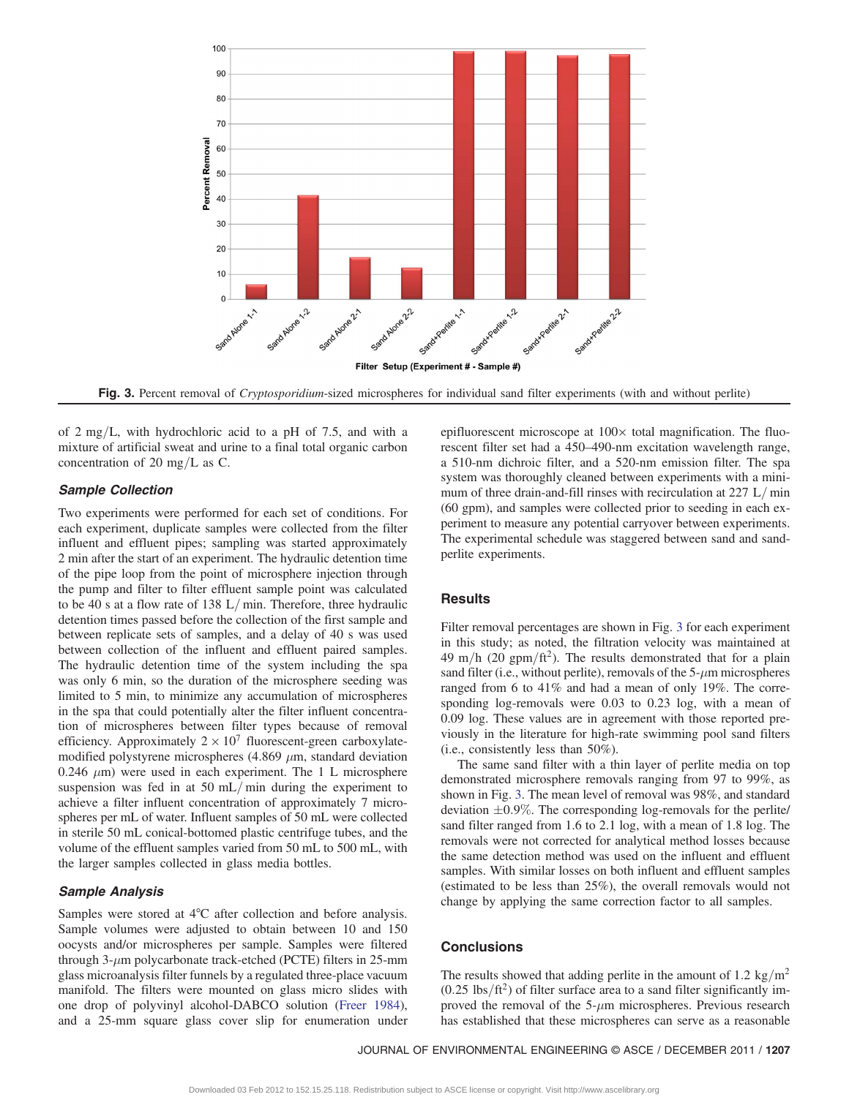<span id="page-3-0"></span>

Fig. 3. Percent removal of *Cryptosporidium*-sized microspheres for individual sand filter experiments (with and without perlite)

of 2 mg/L, with hydrochloric acid to a pH of 7.5, and with a mixture of artificial sweat and urine to a final total organic carbon concentration of 20 mg/L as C.

# Sample Collection

Two experiments were performed for each set of conditions. For each experiment, duplicate samples were collected from the filter influent and effluent pipes; sampling was started approximately 2 min after the start of an experiment. The hydraulic detention time of the pipe loop from the point of microsphere injection through the pump and filter to filter effluent sample point was calculated to be 40 s at a flow rate of 138 L/min. Therefore, three hydraulic detention times passed before the collection of the first sample and between replicate sets of samples, and a delay of 40 s was used between collection of the influent and effluent paired samples. The hydraulic detention time of the system including the spa was only 6 min, so the duration of the microsphere seeding was limited to 5 min, to minimize any accumulation of microspheres in the spa that could potentially alter the filter influent concentration of microspheres between filter types because of removal efficiency. Approximately  $2 \times 10^7$  fluorescent-green carboxylatemodified polystyrene microspheres (4.869  $\mu$ m, standard deviation 0.246  $\mu$ m) were used in each experiment. The 1 L microsphere suspension was fed in at 50 mL/min during the experiment to achieve a filter influent concentration of approximately 7 microspheres per mL of water. Influent samples of 50 mL were collected in sterile 50 mL conical-bottomed plastic centrifuge tubes, and the volume of the effluent samples varied from 50 mL to 500 mL, with the larger samples collected in glass media bottles.

# Sample Analysis

Samples were stored at 4°C after collection and before analysis. Sample volumes were adjusted to obtain between 10 and 150 oocysts and/or microspheres per sample. Samples were filtered through  $3-\mu m$  polycarbonate track-etched (PCTE) filters in 25-mm glass microanalysis filter funnels by a regulated three-place vacuum manifold. The filters were mounted on glass micro slides with one drop of polyvinyl alcohol-DABCO solution ([Freer 1984\)](#page-4-16), and a 25-mm square glass cover slip for enumeration under epifluorescent microscope at 100× total magnification. The fluorescent filter set had a 450–490-nm excitation wavelength range, a 510-nm dichroic filter, and a 520-nm emission filter. The spa system was thoroughly cleaned between experiments with a minimum of three drain-and-fill rinses with recirculation at  $227 \text{ L/min}$ (60 gpm), and samples were collected prior to seeding in each experiment to measure any potential carryover between experiments. The experimental schedule was staggered between sand and sandperlite experiments.

#### Results

Filter removal percentages are shown in Fig. [3](#page-3-0) for each experiment in this study; as noted, the filtration velocity was maintained at 49 m/h (20 gpm/ft<sup>2</sup>). The results demonstrated that for a plain sand filter (i.e., without perlite), removals of the  $5-\mu m$  microspheres ranged from 6 to 41% and had a mean of only 19%. The corresponding log-removals were 0.03 to 0.23 log, with a mean of 0.09 log. These values are in agreement with those reported previously in the literature for high-rate swimming pool sand filters (i.e., consistently less than 50%).

The same sand filter with a thin layer of perlite media on top demonstrated microsphere removals ranging from 97 to 99%, as shown in Fig. [3](#page-3-0). The mean level of removal was 98%, and standard deviation  $\pm 0.9\%$ . The corresponding log-removals for the perlite/ sand filter ranged from 1.6 to 2.1 log, with a mean of 1.8 log. The removals were not corrected for analytical method losses because the same detection method was used on the influent and effluent samples. With similar losses on both influent and effluent samples (estimated to be less than 25%), the overall removals would not change by applying the same correction factor to all samples.

## **Conclusions**

The results showed that adding perlite in the amount of 1.2 kg/m<sup>2</sup>  $(0.25 \text{ lbs/ft}^2)$  of filter surface area to a sand filter significantly improved the removal of the  $5-\mu m$  microspheres. Previous research has established that these microspheres can serve as a reasonable

JOURNAL OF ENVIRONMENTAL ENGINEERING © ASCE / DECEMBER 2011 / <sup>1207</sup>